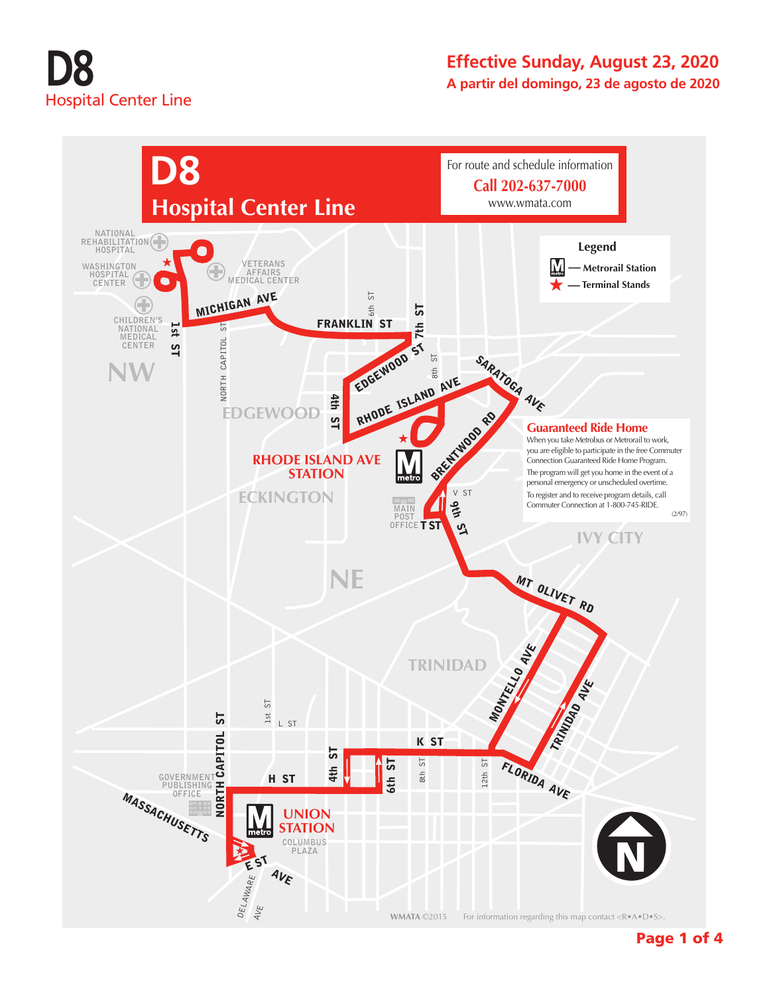## **D8** Hospital Center Line

#### **Effective Sunday, August 23, 2020 A partir del domingo, 23 de agosto de 2020**



Page 1 of 4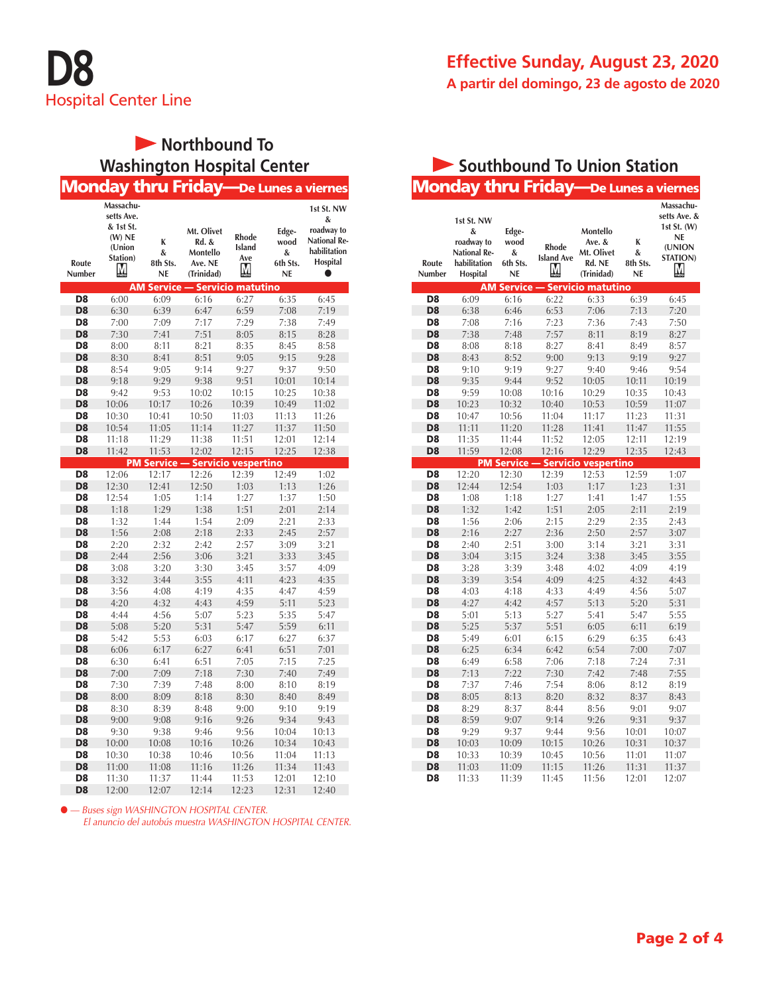

#### **Effective Sunday, August 23, 2020 A partir del domingo, 23 de agosto de 2020**

### **Northbound To Washington Hospital Center**

|                                  |                                                                             |                                               | <b>Monday thru Friday—De Lunes a viernes</b>             |                                                         |                                      |                                                                                  |
|----------------------------------|-----------------------------------------------------------------------------|-----------------------------------------------|----------------------------------------------------------|---------------------------------------------------------|--------------------------------------|----------------------------------------------------------------------------------|
| Route<br>Number                  | Massachu-<br>setts Ave.<br>& 1st St.<br>$(W)$ NE<br>(Union<br>Station)<br>М | K<br>&<br>8th Sts.<br>NE<br><b>AM Service</b> | Mt. Olivet<br>Rd. &<br>Montello<br>Ave. NE<br>(Trinidad) | Rhode<br>Island<br>Ave<br>М<br><b>Servicio matutino</b> | Edge-<br>wood<br>&<br>6th Sts.<br>NE | 1st St. NW<br>&<br>roadway to<br><b>National Re-</b><br>habilitation<br>Hospital |
| D <sub>8</sub>                   | 6:00                                                                        | 6:09                                          | 6:16                                                     | 6:27                                                    | 6:35                                 | 6:45                                                                             |
| D <sub>8</sub>                   | 6:30                                                                        | 6:39                                          | 6:47                                                     | 6:59                                                    | 7:08                                 | 7:19                                                                             |
| D <sub>8</sub>                   | 7:00                                                                        | 7:09                                          | 7:17                                                     | 7:29                                                    | 7:38                                 | 7:49                                                                             |
| D <sub>8</sub>                   | 7:30                                                                        | 7:41                                          | 7:51                                                     | 8:05                                                    | 8:15                                 | 8:28                                                                             |
| D <sub>8</sub>                   | 8:00                                                                        | 8:11                                          | 8:21                                                     | 8:35                                                    | 8:45                                 | 8:58                                                                             |
| D <sub>8</sub>                   | 8:30                                                                        | 8:41                                          | 8:51                                                     | 9:05                                                    | 9:15                                 | 9:28                                                                             |
| D <sub>8</sub>                   | 8:54                                                                        | 9:05                                          | 9:14                                                     | 9:27                                                    | 9:37                                 | 9:50                                                                             |
| D <sub>8</sub>                   | 9:18                                                                        | 9:29                                          | 9:38                                                     | 9:51                                                    | 10:01                                | 10:14                                                                            |
| D <sub>8</sub>                   | 9:42                                                                        | 9:53                                          | 10:02                                                    | 10:15                                                   | 10:25                                | 10:38                                                                            |
| D <sub>8</sub>                   | 10:06                                                                       | 10:17                                         | 10:26                                                    | 10:39                                                   | 10:49                                | 11:02                                                                            |
| D <sub>8</sub>                   | 10:30                                                                       | 10:41                                         | 10:50                                                    | 11:03                                                   | 11:13                                | 11:26                                                                            |
| D <sub>8</sub>                   | 10:54                                                                       | 11:05                                         | 11:14                                                    | 11:27                                                   | 11:37                                | 11:50                                                                            |
| D <sub>8</sub>                   | 11:18                                                                       | 11:29                                         | 11:38                                                    | 11:51                                                   | 12:01                                | 12:14                                                                            |
| D <sub>8</sub>                   | 11:42                                                                       | 11:53                                         | 12:02                                                    | 12:15                                                   | 12:25                                | 12:38                                                                            |
|                                  |                                                                             | <b>PM Service</b>                             | <b>Servicio</b>                                          | vespertino                                              |                                      |                                                                                  |
| D <sub>8</sub>                   | 12:06                                                                       | 12:17                                         | 12:26                                                    | 12:39                                                   | 12:49                                | 1:02                                                                             |
| D <sub>8</sub>                   | 12:30                                                                       | 12:41                                         | 12:50                                                    | 1:03                                                    | 1:13                                 | 1:26                                                                             |
| D <sub>8</sub>                   | 12:54                                                                       | 1:05                                          | 1:14                                                     | 1:27                                                    | 1:37                                 | 1:50                                                                             |
| D <sub>8</sub>                   | 1:18                                                                        | 1:29                                          | 1:38                                                     | 1:51                                                    | 2:01                                 | 2:14                                                                             |
| D <sub>8</sub>                   | 1:32                                                                        | 1:44                                          | 1:54                                                     | 2:09                                                    | 2:21                                 | 2:33                                                                             |
| D <sub>8</sub><br>D <sub>8</sub> | 1:56                                                                        | 2:08                                          | 2:18                                                     | 2:33                                                    | 2:45                                 | 2:57                                                                             |
| D <sub>8</sub>                   | 2:20<br>2:44                                                                | 2:32                                          | 2:42                                                     | 2:57                                                    | 3:09<br>3:33                         | 3:21                                                                             |
| D <sub>8</sub>                   | 3:08                                                                        | 2:56<br>3:20                                  | 3:06<br>3:30                                             | 3:21<br>3:45                                            | 3:57                                 | 3:45<br>4:09                                                                     |
| D <sub>8</sub>                   | 3:32                                                                        | 3:44                                          | 3:55                                                     | 4:11                                                    | 4:23                                 | 4:35                                                                             |
| D <sub>8</sub>                   | 3:56                                                                        | 4:08                                          | 4:19                                                     | 4:35                                                    | 4:47                                 | 4:59                                                                             |
| D <sub>8</sub>                   | 4:20                                                                        | 4:32                                          | 4:43                                                     | 4:59                                                    | 5:11                                 | 5:23                                                                             |
| D <sub>8</sub>                   | 4:44                                                                        | 4:56                                          | 5:07                                                     | 5:23                                                    | 5:35                                 | 5:47                                                                             |
| D <sub>8</sub>                   | 5:08                                                                        | 5:20                                          | 5:31                                                     | 5:47                                                    | 5:59                                 | 6:11                                                                             |
| D <sub>8</sub>                   | 5:42                                                                        | 5:53                                          | 6:03                                                     | 6:17                                                    | 6:27                                 | 6:37                                                                             |
| D <sub>8</sub>                   | 6:06                                                                        | 6:17                                          | 6:27                                                     | 6:41                                                    | 6:51                                 | 7:01                                                                             |
| D8                               | 6:30                                                                        | 6:41                                          | 6:51                                                     | 7:05                                                    | 7:15                                 | 7:25                                                                             |
| D <sub>8</sub>                   | 7:00                                                                        | 7:09                                          | 7:18                                                     | 7:30                                                    | 7:40                                 | 7:49                                                                             |
| D <sub>8</sub>                   | 7:30                                                                        | 7:39                                          | 7:48                                                     | 8:00                                                    | 8:10                                 | 8:19                                                                             |
| D <sub>8</sub>                   | 8:00                                                                        | 8:09                                          | 8:18                                                     | 8:30                                                    | 8:40                                 | 8:49                                                                             |
| D <sub>8</sub>                   | 8:30                                                                        | 8:39                                          | 8:48                                                     | 9:00                                                    | 9:10                                 | 9:19                                                                             |
| D <sub>8</sub>                   | 9:00                                                                        | 9:08                                          | 9:16                                                     | 9:26                                                    | 9:34                                 | 9:43                                                                             |
| D <sub>8</sub>                   | 9:30                                                                        | 9:38                                          | 9:46                                                     | 9:56                                                    | 10:04                                | 10:13                                                                            |
| D <sub>8</sub>                   | 10:00                                                                       | 10:08                                         | 10:16                                                    | 10:26                                                   | 10:34                                | 10:43                                                                            |
| D <sub>8</sub>                   | 10:30                                                                       | 10:38                                         | 10:46                                                    | 10:56                                                   | 11:04                                | 11:13                                                                            |
| D <sub>8</sub>                   | 11:00                                                                       | 11:08                                         | 11:16                                                    | 11:26                                                   | 11:34                                | 11:43                                                                            |
| D <sub>8</sub><br>D <sub>8</sub> | 11:30<br>12:00                                                              | 11:37<br>12:07                                | 11:44<br>12:14                                           | 11:53<br>12:23                                          | 12:01<br>12:31                       | 12:10<br>12:40                                                                   |

● *— Buses sign WASHINGTON HOSPITAL CENTER. El anuncio del autobús muestra WASHINGTON HOSPITAL CENTER.* 

#### Monday thru Friday—De Lunes a viernes **Southbound To Union Station**

| Route<br>Number | 1st St. NW<br>&<br>roadway to<br><b>National Re-</b><br>habilitation<br>Hospital | Edge-<br>wood<br>&<br>6th Sts.<br><b>NE</b> | Rhode<br><b>Island Ave</b><br>М | Montello<br>Ave. &<br>Mt. Olivet<br>Rd. NE<br>(Trinidad) | K<br>&<br>8th Sts.<br>NE | Massachu-<br>setts Ave. &<br>1st St. (W)<br>NE<br>(UNION<br><b>STATION)</b><br>М |
|-----------------|----------------------------------------------------------------------------------|---------------------------------------------|---------------------------------|----------------------------------------------------------|--------------------------|----------------------------------------------------------------------------------|
|                 |                                                                                  | <b>AM Service</b>                           |                                 | - Servicio matutino                                      |                          |                                                                                  |
| D <sub>8</sub>  | 6:09                                                                             | 6:16                                        | 6:22                            | 6:33                                                     | 6:39                     | 6:45                                                                             |
| D <sub>8</sub>  | 6:38                                                                             | 6:46                                        | 6:53                            | 7:06                                                     | 7:13                     | 7:20                                                                             |
| D <sub>8</sub>  | 7:08                                                                             | 7:16                                        | 7:23                            | 7:36                                                     | 7:43                     | 7:50                                                                             |
| D <sub>8</sub>  | 7:38                                                                             | 7:48                                        | 7:57                            | 8:11                                                     | 8:19                     | 8:27                                                                             |
| D <sub>8</sub>  | 8:08                                                                             | 8:18                                        | 8:27                            | 8:41                                                     | 8:49                     | 8:57                                                                             |
| D <sub>8</sub>  | 8:43                                                                             | 8:52                                        | 9:00                            | 9:13                                                     | 9:19                     | 9:27                                                                             |
| D <sub>8</sub>  | 9:10                                                                             | 9:19                                        | 9:27                            | 9:40                                                     | 9:46                     | 9:54                                                                             |
| D <sub>8</sub>  | 9:35                                                                             | 9:44                                        | 9:52                            | 10:05                                                    | 10:11                    | 10:19                                                                            |
| D <sub>8</sub>  | 9:59                                                                             | 10:08                                       | 10:16                           | 10:29                                                    | 10:35                    | 10:43                                                                            |
| D <sub>8</sub>  | 10:23                                                                            | 10:32                                       | 10:40                           | 10:53                                                    | 10:59                    | 11:07                                                                            |
| D <sub>8</sub>  | 10:47                                                                            | 10:56                                       | 11:04                           | 11:17                                                    | 11:23                    | 11:31                                                                            |
| D <sub>8</sub>  | 11:11                                                                            | 11:20                                       | 11:28                           | 11:41                                                    | 11:47                    | 11:55                                                                            |
| D8              | 11:35                                                                            | 11:44                                       | 11:52                           | 12:05                                                    | 12:11                    | 12:19                                                                            |
| D <sub>8</sub>  | 11:59                                                                            | 12:08                                       | 12:16                           | 12:29                                                    | 12:35                    | 12:43                                                                            |
|                 |                                                                                  | <b>PM Service</b>                           |                                 | <b>Servicio vespertino</b>                               |                          |                                                                                  |
| D <sub>8</sub>  | 12:20                                                                            | 12:30                                       | 12:39                           | 12:53                                                    | 12:59                    | 1:07                                                                             |
| D <sub>8</sub>  | 12:44                                                                            | 12:54                                       | 1:03                            | 1:17                                                     | 1:23                     | 1:31                                                                             |
| D <sub>8</sub>  | 1:08                                                                             | 1:18                                        | 1:27                            | 1:41                                                     | 1:47                     | 1:55                                                                             |
| D <sub>8</sub>  | 1:32                                                                             | 1:42                                        | 1:51                            | 2:05                                                     | 2:11                     | 2:19                                                                             |
| D <sub>8</sub>  | 1:56                                                                             | 2:06                                        | 2:15                            | 2:29                                                     | 2:35                     | 2:43                                                                             |
| D <sub>8</sub>  | 2:16                                                                             | 2:27                                        | 2:36                            | 2:50                                                     | 2:57                     | 3:07                                                                             |
| D <sub>8</sub>  | 2:40                                                                             | 2:51                                        | 3:00                            | 3:14                                                     | 3:21                     | 3:31                                                                             |
| D <sub>8</sub>  | 3:04                                                                             | 3:15                                        | 3:24                            | 3:38                                                     | 3:45                     | 3:55                                                                             |
| D <sub>8</sub>  | 3:28                                                                             | 3:39                                        | 3:48                            | 4:02                                                     | 4:09                     | 4:19                                                                             |
| D <sub>8</sub>  | 3:39                                                                             | 3:54                                        | 4:09                            | 4:25                                                     | 4:32                     | 4:43                                                                             |
| D <sub>8</sub>  | 4:03                                                                             | 4:18                                        | 4:33                            | 4:49                                                     | 4:56                     | 5:07                                                                             |
| D <sub>8</sub>  | 4:27                                                                             | 4:42                                        | 4:57                            | 5:13                                                     | 5:20                     | 5:31                                                                             |
| D <sub>8</sub>  | 5:01                                                                             | 5:13                                        | 5:27                            | 5:41                                                     | 5:47                     | 5:55                                                                             |
| D <sub>8</sub>  | 5:25                                                                             | 5:37                                        | 5:51                            | 6:05                                                     | 6:11                     | 6:19                                                                             |
| D <sub>8</sub>  | 5:49                                                                             | 6:01                                        | 6:15                            | 6:29                                                     | 6:35                     | 6:43                                                                             |
| D <sub>8</sub>  | 6:25                                                                             | 6:34                                        | 6:42                            | 6:54                                                     | 7:00                     | 7:07                                                                             |
| D <sub>8</sub>  | 6:49                                                                             | 6:58                                        | 7:06                            | 7:18                                                     | 7:24                     | 7:31                                                                             |
| D <sub>8</sub>  | 7:13                                                                             | 7:22                                        | 7:30                            | 7:42                                                     | 7:48                     | 7:55                                                                             |
| D <sub>8</sub>  | 7:37                                                                             | 7:46                                        | 7:54                            | 8:06                                                     | 8:12                     | 8:19                                                                             |
| D <sub>8</sub>  | 8:05                                                                             | 8:13                                        | 8:20                            | 8:32                                                     | 8:37                     | 8:43                                                                             |
| D <sub>8</sub>  | 8:29                                                                             | 8:37                                        | 8:44                            | 8:56                                                     | 9:01                     | 9:07                                                                             |
| D <sub>8</sub>  | 8:59                                                                             | 9:07                                        | 9:14                            | 9:26                                                     | 9:31                     | 9:37                                                                             |
| D <sub>8</sub>  | 9:29                                                                             | 9:37                                        | 9:44                            | 9:56                                                     | 10:01                    | 10:07                                                                            |
| D8              | 10:03                                                                            | 10:09                                       | 10:15                           | 10:26                                                    | 10:31                    | 10:37                                                                            |
| D <sub>8</sub>  | 10:33                                                                            | 10:39                                       | 10:45                           | 10:56                                                    | 11:01                    | 11:07                                                                            |
| D <sub>8</sub>  | 11:03                                                                            | 11:09                                       | 11:15                           | 11:26                                                    | 11:31                    | 11:37                                                                            |
| D <sub>8</sub>  | 11:33                                                                            | 11:39                                       | 11:45                           | 11:56                                                    | 12:01                    | 12:07                                                                            |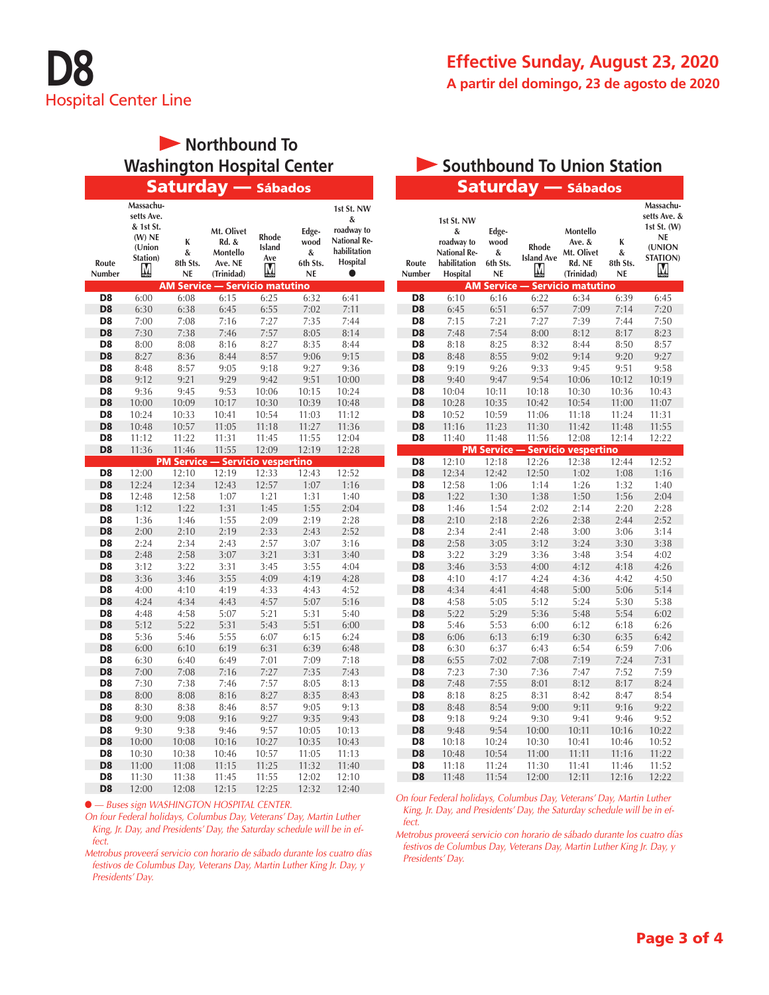### **Northbound To** Washington Hospital Center **Southbound To Union Station**

|                                  | Massachu-<br>setts Ave.<br>& 1st St.<br>$(W)$ NE<br>(Union | K<br>&                       | Mt. Olivet<br>Rd. &<br>Montello       | <b>Rhode</b><br>Island         | Edge-<br>wood<br>& | 1st St. NW<br>&<br>roadway to<br><b>National Re-</b><br>habilitation |
|----------------------------------|------------------------------------------------------------|------------------------------|---------------------------------------|--------------------------------|--------------------|----------------------------------------------------------------------|
| Route                            | Station)                                                   | 8th Sts.                     | Ave. NE                               | Ave                            | 6th Sts.           | Hospital                                                             |
| Number                           | M                                                          | <b>NE</b>                    | (Trinidad)                            | M                              | <b>NE</b>          | ●                                                                    |
|                                  |                                                            |                              | <b>AM Service - Servicio matutino</b> |                                |                    |                                                                      |
| D8                               | 6:00                                                       | 6:08                         | 6:15                                  | 6:25                           | 6:32               | 6:41                                                                 |
| D <sub>8</sub>                   | 6:30                                                       | 6:38                         | 6:45                                  | 6:55                           | 7:02               | 7:11                                                                 |
| D <sub>8</sub>                   | 7:00                                                       | 7:08                         | 7:16                                  | 7:27                           | 7:35               | 7:44                                                                 |
| D <sub>8</sub>                   | 7:30                                                       | 7:38                         | 7:46                                  | 7:57                           | 8:05               | 8:14                                                                 |
| D <sub>8</sub>                   | 8:00                                                       | 8:08                         | 8:16                                  | 8:27                           | 8:35               | 8:44                                                                 |
| D <sub>8</sub>                   | 8:27                                                       | 8:36                         | 8:44                                  | 8:57                           | 9:06               | 9:15                                                                 |
| D <sub>8</sub>                   | 8:48                                                       | 8:57                         | 9:05                                  | 9:18                           | 9:27               | 9:36                                                                 |
| D <sub>8</sub>                   | 9:12                                                       | 9:21                         | 9:29                                  | 9:42                           | 9:51               | 10:00                                                                |
| D <sub>8</sub>                   | 9:36                                                       | 9:45                         | 9:53                                  | 10:06                          | 10:15              | 10:24                                                                |
| D <sub>8</sub>                   | 10:00                                                      | 10:09                        | 10:17                                 | 10:30                          | 10:39              | 10:48                                                                |
| D <sub>8</sub>                   | 10:24                                                      | 10:33                        | 10:41                                 | 10:54                          | 11:03              | 11:12                                                                |
| D <sub>8</sub>                   | 10:48                                                      | 10:57                        | 11:05                                 | 11:18                          | 11:27              | 11:36                                                                |
| D <sub>8</sub><br>D <sub>8</sub> | 11:12                                                      | 11:22                        | 11:31                                 | 11:45                          | 11:55              | 12:04                                                                |
|                                  | 11:36                                                      | 11:46<br><b>PM Service -</b> | 11:55                                 | 12:09                          | 12:19              | 12:28                                                                |
| D <sub>8</sub>                   | 12:00                                                      | 12:10                        | 12:19                                 | - Servicio vespertino<br>12:33 | 12:43              | 12:52                                                                |
| D <sub>8</sub>                   | 12:24                                                      | 12:34                        | 12:43                                 | 12:57                          | 1:07               | 1:16                                                                 |
| D8                               | 12:48                                                      | 12:58                        | 1:07                                  | 1:21                           | 1:31               | 1:40                                                                 |
| D <sub>8</sub>                   | 1:12                                                       | 1:22                         | 1:31                                  | 1:45                           | 1:55               | 2:04                                                                 |
| D <sub>8</sub>                   | 1:36                                                       | 1:46                         | 1:55                                  | 2:09                           | 2:19               | 2:28                                                                 |
| D <sub>8</sub>                   | 2:00                                                       | 2:10                         | 2:19                                  | 2:33                           | 2:43               | 2:52                                                                 |
| D <sub>8</sub>                   | 2:24                                                       | 2:34                         | 2:43                                  | 2:57                           | 3:07               | 3:16                                                                 |
| D <sub>8</sub>                   | 2:48                                                       | 2:58                         | 3:07                                  | 3:21                           | 3:31               | 3:40                                                                 |
| D <sub>8</sub>                   | 3:12                                                       | 3:22                         | 3:31                                  | 3:45                           | 3:55               | 4:04                                                                 |
| D <sub>8</sub>                   | 3:36                                                       | 3:46                         | 3:55                                  | 4:09                           | 4:19               | 4:28                                                                 |
| D <sub>8</sub>                   | 4:00                                                       | 4:10                         | 4:19                                  | 4:33                           | 4:43               | 4:52                                                                 |
| D8                               | 4:24                                                       | 4:34                         | 4:43                                  | 4:57                           | 5:07               | 5:16                                                                 |
| D8                               | 4:48                                                       | 4:58                         | 5:07                                  | 5:21                           | 5:31               | 5:40                                                                 |
| D <sub>8</sub>                   | 5:12                                                       | 5:22                         | 5:31                                  | 5:43                           | 5:51               | 6:00                                                                 |
| D <sub>8</sub>                   | 5:36                                                       | 5:46                         | 5:55                                  | 6:07                           | 6:15               | 6:24                                                                 |
| D <sub>8</sub>                   | 6:00                                                       | 6:10                         | 6:19                                  | 6:31                           | 6:39               | 6:48                                                                 |
| D <sub>8</sub>                   | 6:30                                                       | 6:40                         | 6:49                                  | 7:01                           | 7:09               | 7:18                                                                 |
| D <sub>8</sub>                   | 7:00                                                       | 7:08                         | 7:16                                  | 7:27                           | 7:35               | 7:43                                                                 |
| D <sub>8</sub>                   | 7:30                                                       | 7:38                         | 7:46                                  | 7:57                           | 8:05               | 8:13                                                                 |
| D <sub>8</sub>                   | 8:00                                                       | 8:08                         | 8:16                                  | 8:27                           | 8:35               | 8:43                                                                 |
| D <sub>8</sub>                   | 8:30                                                       | 8:38                         | 8:46                                  | 8:57                           | 9:05               | 9:13                                                                 |
| D <sub>8</sub>                   | 9:00                                                       | 9:08                         | 9:16                                  | 9:27                           | 9:35               | 9:43                                                                 |
| D <sub>8</sub>                   | 9:30                                                       | 9:38                         | 9:46                                  | 9:57                           | 10:05              | 10:13                                                                |
| D <sub>8</sub>                   | 10:00                                                      | 10:08                        | 10:16                                 | 10:27                          | 10:35              | 10:43                                                                |
| D <sub>8</sub>                   | 10:30                                                      | 10:38                        | 10:46                                 | 10:57                          | 11:05              | 11:13                                                                |
| D <sub>8</sub>                   | 11:00                                                      | 11:08                        | 11:15                                 | 11:25                          | 11:32              | 11:40                                                                |
| D <sub>8</sub>                   | 11:30                                                      | 11:38                        | 11:45                                 | 11:55                          | 12:02              | 12:10                                                                |
| D <sub>8</sub>                   | 12:00                                                      | 12:08                        | 12:15                                 | 12:25                          | 12:32              | 12:40                                                                |

● *— Buses sign WASHINGTON HOSPITAL CENTER.*

*On four Federal holidays, Columbus Day, Veterans' Day, Martin Luther King, Jr. Day, and Presidents' Day, the Saturday schedule will be in effect.*

*Metrobus proveerá servicio con horario de sábado durante los cuatro días festivos de Columbus Day, Veterans Day, Martin Luther King Jr. Day, y Presidents' Day.*

# Saturday — Sábados **Saturday — Sábados**

| Route<br>Number                  | 1st St. NW<br>&<br>roadway to<br><b>National Re-</b><br>habilitation<br>Hospital | Edge-<br>wood<br>&<br>6th Sts.<br><b>NE</b> | Rhode<br><b>Island</b> Ave<br>M | Montello<br>Ave. &<br>Mt. Olivet<br>Rd. NE<br>(Trinidad) | K<br>&<br>8th Sts.<br><b>NE</b> | Massachu-<br>setts Ave. &<br>1st St. $(W)$<br><b>NE</b><br>(UNION<br><b>STATION)</b><br>М |
|----------------------------------|----------------------------------------------------------------------------------|---------------------------------------------|---------------------------------|----------------------------------------------------------|---------------------------------|-------------------------------------------------------------------------------------------|
|                                  |                                                                                  | <b>AM Service</b>                           |                                 | - Servicio matutino                                      |                                 |                                                                                           |
| D <sub>8</sub>                   | 6:10                                                                             | 6:16                                        | 6:22                            | 6:34                                                     | 6:39                            | 6:45                                                                                      |
| D <sub>8</sub>                   | 6:45                                                                             | 6:51                                        | 6:57                            | 7:09                                                     | 7:14                            | 7:20                                                                                      |
| D <sub>8</sub>                   | 7:15                                                                             | 7:21                                        | 7:27                            | 7:39                                                     | 7:44                            | 7:50                                                                                      |
| D <sub>8</sub>                   | 7:48                                                                             | 7:54                                        | 8:00                            | 8:12                                                     | 8:17                            | 8:23                                                                                      |
| D8                               | 8:18                                                                             | 8:25                                        | 8:32                            | 8:44                                                     | 8:50                            | 8:57                                                                                      |
| D <sub>8</sub>                   | 8:48                                                                             | 8:55                                        | 9:02                            | 9:14                                                     | 9:20                            | 9:27                                                                                      |
| D <sub>8</sub>                   | 9:19                                                                             | 9:26                                        | 9:33                            | 9:45                                                     | 9:51                            | 9:58                                                                                      |
| D <sub>8</sub>                   | 9:40                                                                             | 9:47                                        | 9:54                            | 10:06                                                    | 10:12                           | 10:19                                                                                     |
| D <sub>8</sub>                   | 10:04                                                                            | 10:11                                       | 10:18                           | 10:30                                                    | 10:36                           | 10:43                                                                                     |
| D <sub>8</sub>                   | 10:28                                                                            | 10:35                                       | 10:42                           | 10:54                                                    | 11:00                           | 11:07                                                                                     |
| D <sub>8</sub>                   | 10:52                                                                            | 10:59                                       | 11:06                           | 11:18                                                    | 11:24                           | 11:31                                                                                     |
| D <sub>8</sub><br>D <sub>8</sub> | 11:16                                                                            | 11:23                                       | 11:30<br>11:56                  | 11:42<br>12:08                                           | 11:48                           | 11:55<br>12:22                                                                            |
|                                  | 11:40                                                                            | 11:48<br><b>PM Service</b>                  |                                 | <b>Servicio vespertino</b>                               | 12:14                           |                                                                                           |
| D8                               | 12:10                                                                            | 12:18                                       | 12:26                           | 12:38                                                    | 12:44                           | 12:52                                                                                     |
| D <sub>8</sub>                   | 12:34                                                                            | 12:42                                       | 12:50                           | 1:02                                                     | 1:08                            | 1:16                                                                                      |
| D <sub>8</sub>                   | 12:58                                                                            | 1:06                                        | 1:14                            | 1:26                                                     | 1:32                            | 1:40                                                                                      |
| D <sub>8</sub>                   | 1:22                                                                             | 1:30                                        | 1:38                            | 1:50                                                     | 1:56                            | 2:04                                                                                      |
| D <sub>8</sub>                   | 1:46                                                                             | 1:54                                        | 2:02                            | 2:14                                                     | 2:20                            | 2:28                                                                                      |
| D <sub>8</sub>                   | 2:10                                                                             | 2:18                                        | 2:26                            | 2:38                                                     | 2:44                            | 2:52                                                                                      |
| D <sub>8</sub>                   | 2:34                                                                             | 2:41                                        | 2:48                            | 3:00                                                     | 3:06                            | 3:14                                                                                      |
| D <sub>8</sub>                   | 2:58                                                                             | 3:05                                        | 3:12                            | 3:24                                                     | 3:30                            | 3:38                                                                                      |
| D8                               | 3:22                                                                             | 3:29                                        | 3:36                            | 3:48                                                     | 3:54                            | 4:02                                                                                      |
| D <sub>8</sub>                   | 3:46                                                                             | 3:53                                        | 4:00                            | 4:12                                                     | 4:18                            | 4:26                                                                                      |
| D8                               | 4:10                                                                             | 4:17                                        | 4:24                            | 4:36                                                     | 4:42                            | 4:50                                                                                      |
| D <sub>8</sub>                   | 4:34                                                                             | 4:41                                        | 4:48                            | 5:00                                                     | 5:06                            | 5:14                                                                                      |
| D <sub>8</sub>                   | 4:58                                                                             | 5:05                                        | 5:12                            | 5:24                                                     | 5:30                            | 5:38                                                                                      |
| D <sub>8</sub>                   | 5:22                                                                             | 5:29                                        | 5:36                            | 5:48                                                     | 5:54                            | 6:02                                                                                      |
| D8                               | 5:46                                                                             | 5:53                                        | 6:00                            | 6:12                                                     | 6:18                            | 6:26                                                                                      |
| D <sub>8</sub>                   | 6:06                                                                             | 6:13                                        | 6:19                            | 6:30                                                     | 6:35                            | 6:42                                                                                      |
| D8                               | 6:30                                                                             | 6:37                                        | 6:43                            | 6:54                                                     | 6:59                            | 7:06                                                                                      |
| D <sub>8</sub>                   | 6:55                                                                             | 7:02                                        | 7:08                            | 7:19                                                     | 7:24                            | 7:31                                                                                      |
| D8                               | 7:23                                                                             | 7:30                                        | 7:36                            | 7:47                                                     | 7:52                            | 7:59                                                                                      |
| D <sub>8</sub>                   | 7:48                                                                             | 7:55                                        | 8:01                            | 8:12                                                     | 8:17                            | 8:24                                                                                      |
| D <sub>8</sub>                   | 8:18                                                                             | 8:25                                        | 8:31                            | 8:42                                                     | 8:47                            | 8:54                                                                                      |
| D <sub>8</sub>                   | 8:48                                                                             | 8:54                                        | 9:00                            | 9:11                                                     | 9:16                            | 9:22                                                                                      |
| D <sub>8</sub>                   | 9:18                                                                             | 9:24                                        | 9:30                            | 9:41                                                     | 9:46                            | 9:52                                                                                      |
| D <sub>8</sub>                   | 9:48                                                                             | 9:54                                        | 10:00                           | 10:11                                                    | 10:16                           | 10:22                                                                                     |
| D8                               | 10:18                                                                            | 10:24                                       | 10:30                           | 10:41                                                    | 10:46                           | 10:52                                                                                     |
| D <sub>8</sub>                   | 10:48                                                                            | 10:54                                       | 11:00                           | 11:11                                                    | 11:16                           | 11:22                                                                                     |
| D <sub>8</sub>                   | 11:18                                                                            | 11:24                                       | 11:30                           | 11:41                                                    | 11:46                           | 11:52                                                                                     |
| D <sub>8</sub>                   | 11:48                                                                            | 11:54                                       | 12:00                           | 12:11                                                    | 12:16                           | 12:22                                                                                     |

*On four Federal holidays, Columbus Day, Veterans' Day, Martin Luther King, Jr. Day, and Presidents' Day, the Saturday schedule will be in effect.*

*Metrobus proveerá servicio con horario de sábado durante los cuatro días festivos de Columbus Day, Veterans Day, Martin Luther King Jr. Day, y Presidents' Day.*